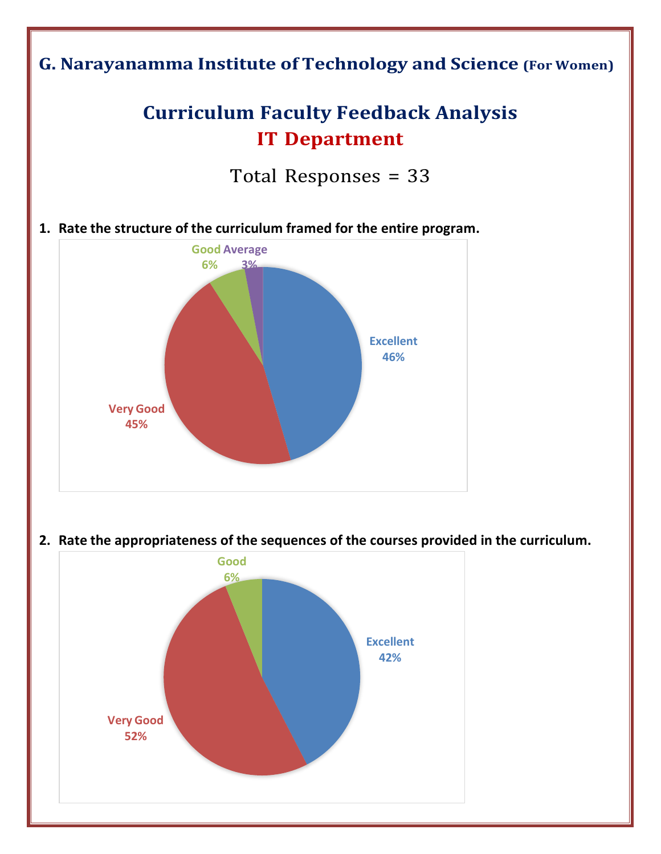



**2. Rate the appropriateness of the sequences of the courses provided in the curriculum.**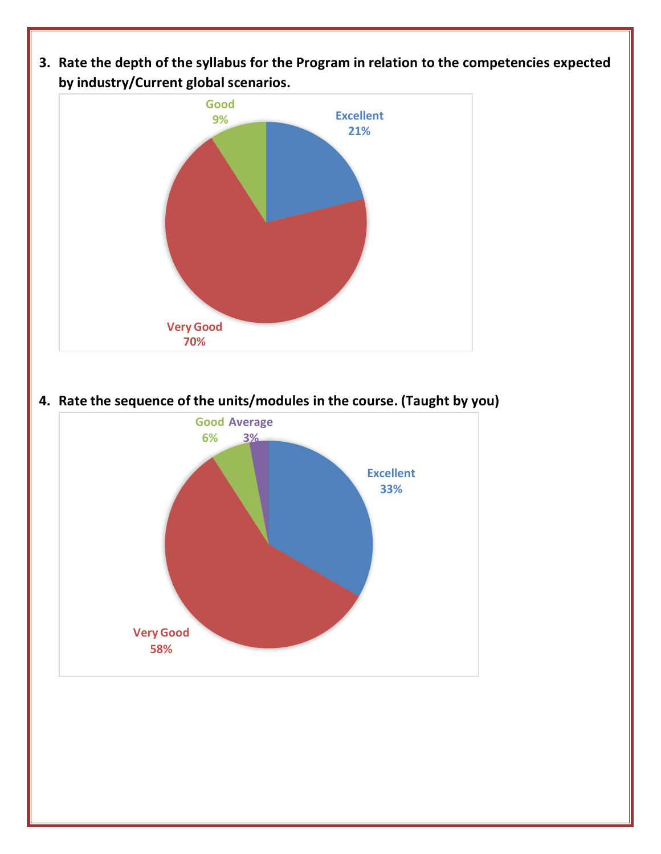**3. Rate the depth of the syllabus for the Program in relation to the competencies expected by industry/Current global scenarios.**



**4. Rate the sequence of the units/modules in the course. (Taught by you)**

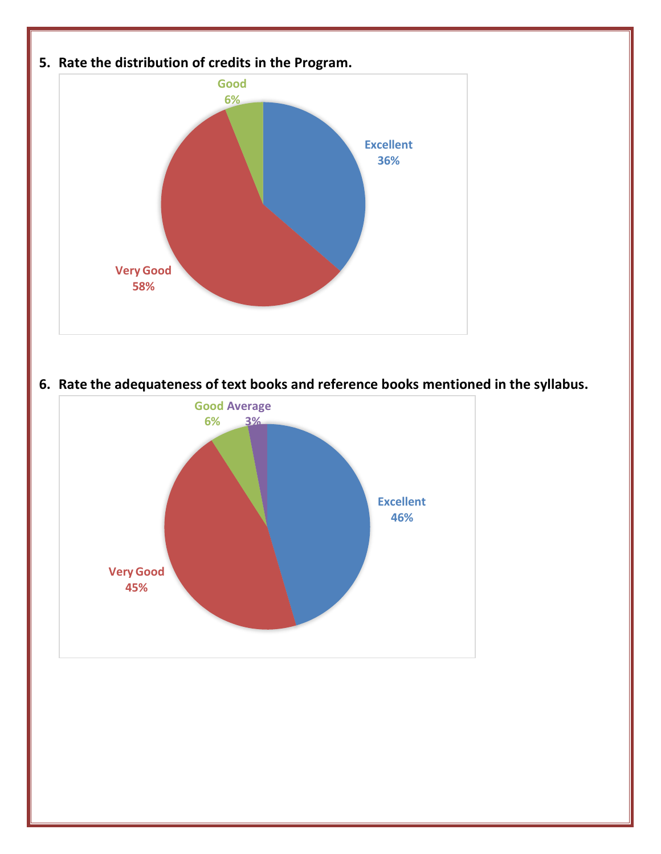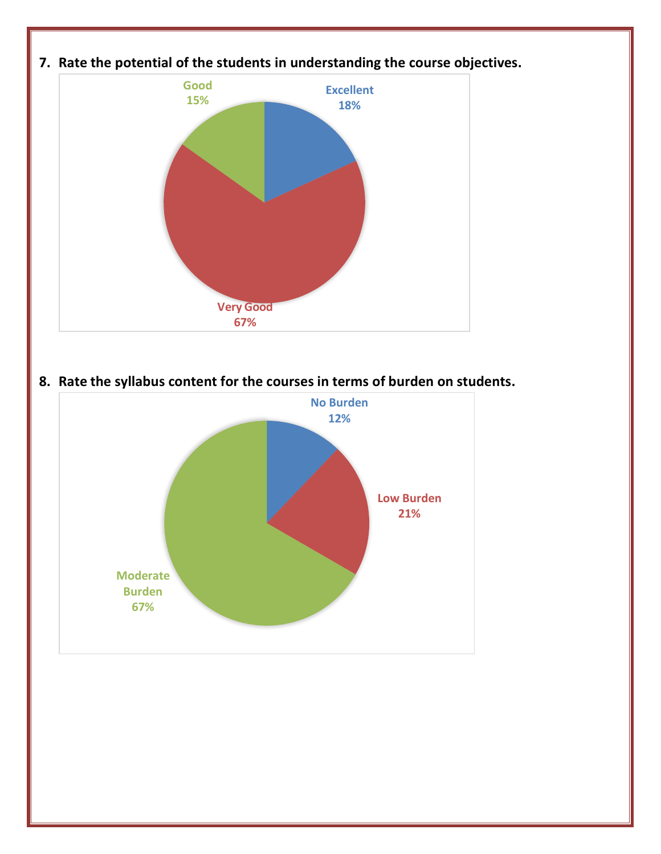

**8. Rate the syllabus content for the courses in terms of burden on students.**

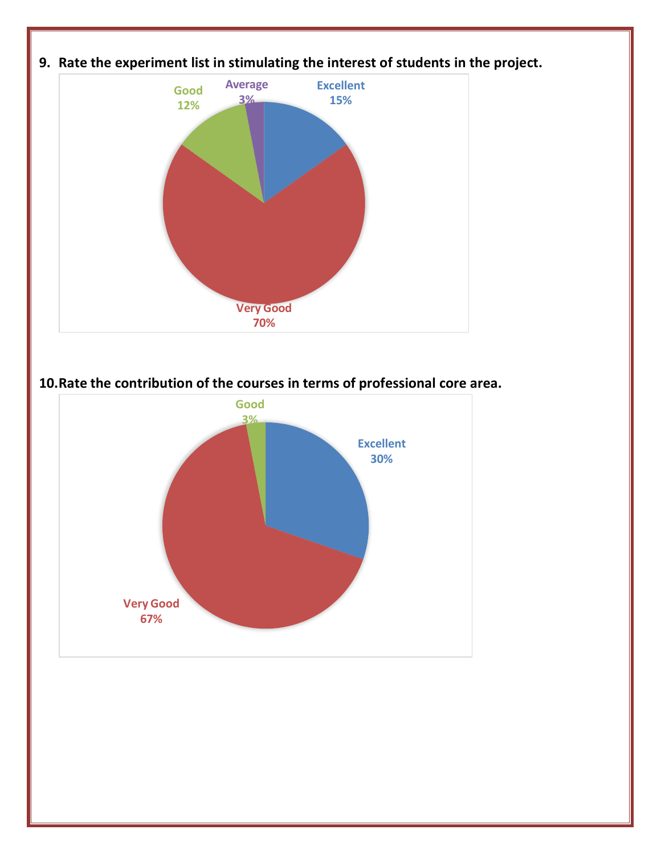

**10.Rate the contribution of the courses in terms of professional core area.**